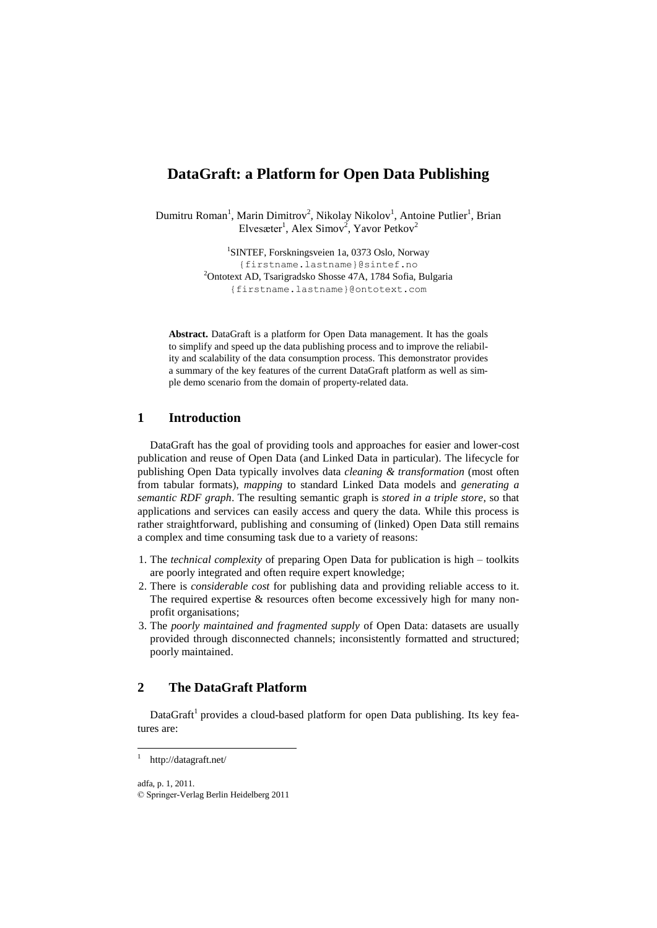# **DataGraft: a Platform for Open Data Publishing**

Dumitru Roman<sup>1</sup>, Marin Dimitrov<sup>2</sup>, Nikolay Nikolov<sup>1</sup>, Antoine Putlier<sup>1</sup>, Brian Elvesæter<sup>1</sup>, Alex Simov<sup>2</sup>, Yavor Petkov<sup>2</sup>

> 1 SINTEF, Forskningsveien 1a, 0373 Oslo, Norway {firstname.lastnam[e}@sintef.no](mailto:%7d@sintef.no) <sup>2</sup>Ontotext AD, Tsarigradsko Shosse 47A, 1784 Sofia, Bulgaria {firstname.lastnam[e}@ontotext.com](mailto:%7d@ontotext.com)

**Abstract.** DataGraft is a platform for Open Data management. It has the goals to simplify and speed up the data publishing process and to improve the reliability and scalability of the data consumption process. This demonstrator provides a summary of the key features of the current DataGraft platform as well as simple demo scenario from the domain of property-related data.

## **1 Introduction**

DataGraft has the goal of providing tools and approaches for easier and lower-cost publication and reuse of Open Data (and Linked Data in particular). The lifecycle for publishing Open Data typically involves data *cleaning & transformation* (most often from tabular formats), *mapping* to standard Linked Data models and *generating a semantic RDF graph*. The resulting semantic graph is *stored in a triple store*, so that applications and services can easily access and query the data. While this process is rather straightforward, publishing and consuming of (linked) Open Data still remains a complex and time consuming task due to a variety of reasons:

- 1. The *technical complexity* of preparing Open Data for publication is high toolkits are poorly integrated and often require expert knowledge;
- 2. There is *considerable cost* for publishing data and providing reliable access to it. The required expertise & resources often become excessively high for many nonprofit organisations;
- 3. The *poorly maintained and fragmented supply* of Open Data: datasets are usually provided through disconnected channels; inconsistently formatted and structured; poorly maintained.

### **2 The DataGraft Platform**

DataGraft<sup>1</sup> provides a cloud-based platform for open Data publishing. Its key features are:

adfa, p. 1, 2011.

 $\overline{\phantom{a}}$ 

<sup>1</sup> <http://datagraft.net/>

<sup>©</sup> Springer-Verlag Berlin Heidelberg 2011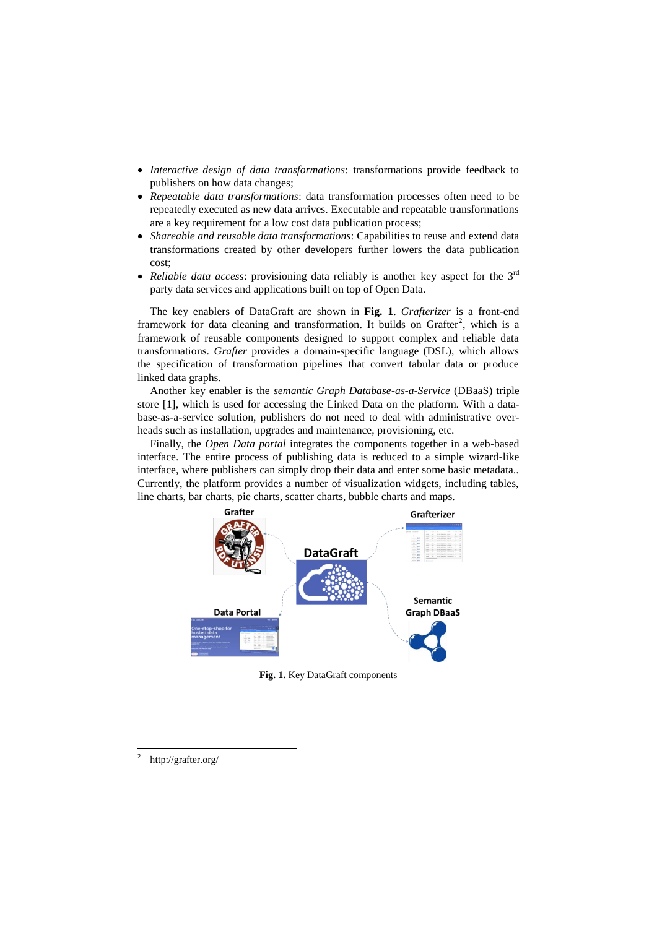- *Interactive design of data transformations*: transformations provide feedback to publishers on how data changes;
- *Repeatable data transformations*: data transformation processes often need to be repeatedly executed as new data arrives. Executable and repeatable transformations are a key requirement for a low cost data publication process;
- *Shareable and reusable data transformations*: Capabilities to reuse and extend data transformations created by other developers further lowers the data publication cost;
- *Reliable data access*: provisioning data reliably is another key aspect for the 3<sup>rd</sup> party data services and applications built on top of Open Data.

The key enablers of DataGraft are shown in **[Fig. 1](#page-1-0)**. *Grafterizer* is a front-end framework for data cleaning and transformation. It builds on Grafter<sup>2</sup>, which is a framework of reusable components designed to support complex and reliable data transformations. *Grafter* provides a domain-specific language (DSL), which allows the specification of transformation pipelines that convert tabular data or produce linked data graphs.

Another key enabler is the *semantic Graph Database-as-a-Service* (DBaaS) triple store [1], which is used for accessing the Linked Data on the platform. With a database-as-a-service solution, publishers do not need to deal with administrative overheads such as installation, upgrades and maintenance, provisioning, etc.

Finally, the *Open Data portal* integrates the components together in a web-based interface. The entire process of publishing data is reduced to a simple wizard-like interface, where publishers can simply drop their data and enter some basic metadata.. Currently, the platform provides a number of visualization widgets, including tables, line charts, bar charts, pie charts, scatter charts, bubble charts and maps.



**Fig. 1.** Key DataGraft components

<span id="page-1-0"></span> $\frac{1}{2}$ <http://grafter.org/>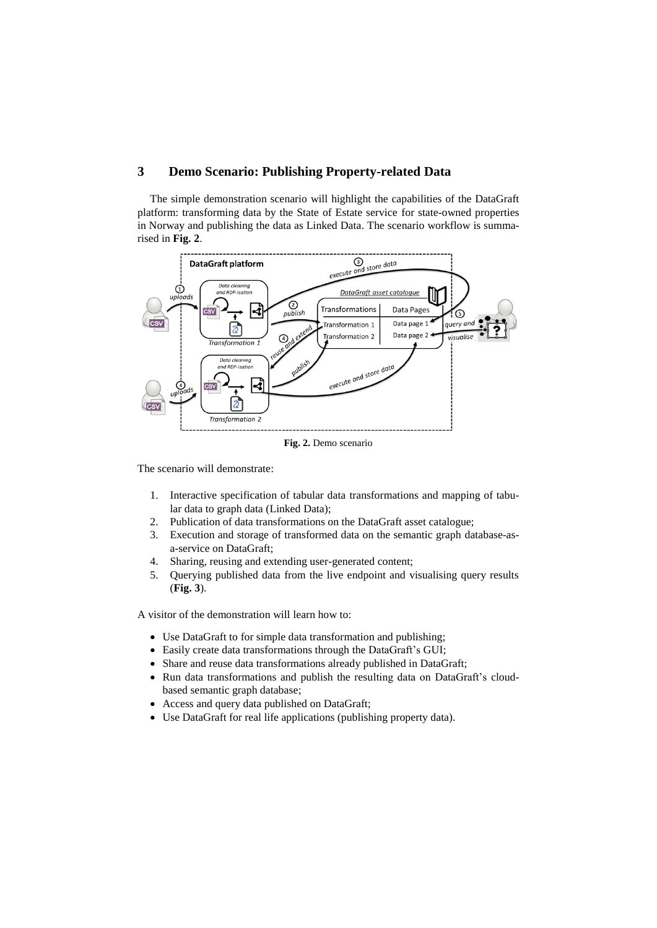## **3 Demo Scenario: Publishing Property-related Data**

The simple demonstration scenario will highlight the capabilities of the DataGraft platform: transforming data by the State of Estate service for state-owned properties in Norway and publishing the data as Linked Data. The scenario workflow is summarised in **[Fig. 2](#page-2-0)**.



**Fig. 2.** Demo scenario

<span id="page-2-0"></span>The scenario will demonstrate:

- 1. Interactive specification of tabular data transformations and mapping of tabular data to graph data (Linked Data);
- 2. Publication of data transformations on the DataGraft asset catalogue;
- 3. Execution and storage of transformed data on the semantic graph database-asa-service on DataGraft;
- 4. Sharing, reusing and extending user-generated content;
- 5. Querying published data from the live endpoint and visualising query results (**[Fig. 3](#page-3-0)**).

A visitor of the demonstration will learn how to:

- Use DataGraft to for simple data transformation and publishing;
- Easily create data transformations through the DataGraft's GUI;
- Share and reuse data transformations already published in DataGraft;
- Run data transformations and publish the resulting data on DataGraft's cloudbased semantic graph database;
- Access and query data published on DataGraft;
- Use DataGraft for real life applications (publishing property data).